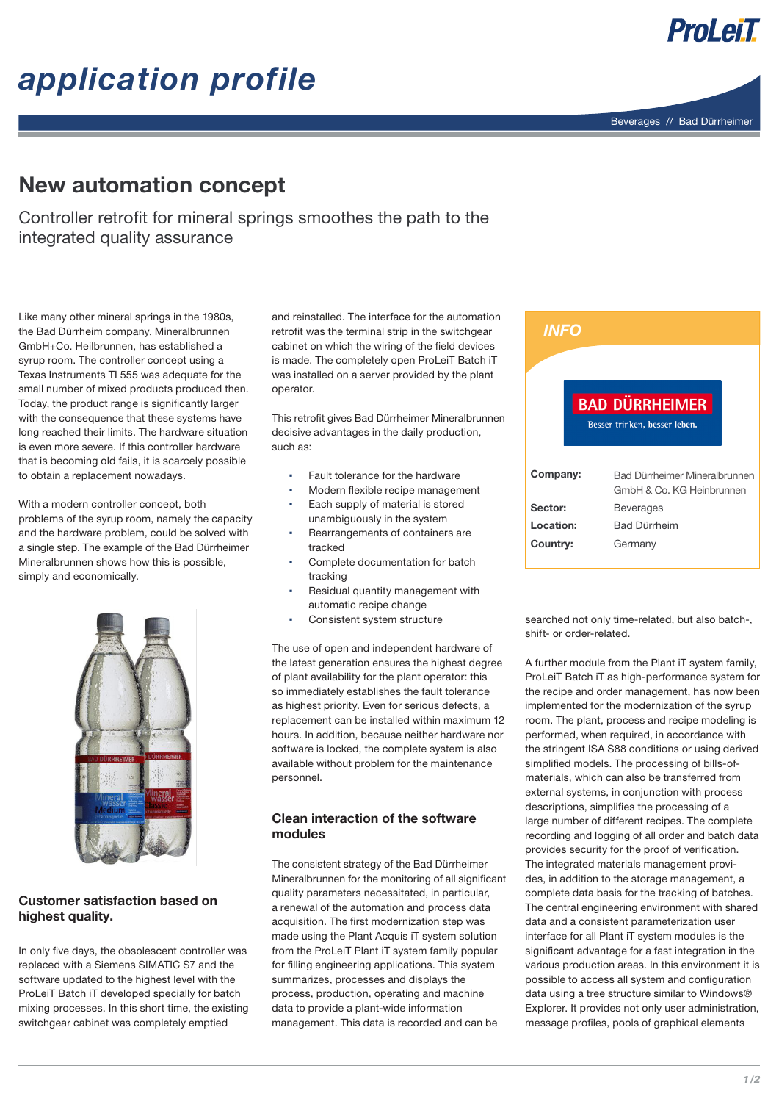# *application profile*



ProLeiT

### New automation concept

Controller retrofit for mineral springs smoothes the path to the integrated quality assurance

Like many other mineral springs in the 1980s, the Bad Dürrheim company, Mineralbrunnen GmbH+Co. Heilbrunnen, has established a syrup room. The controller concept using a Texas Instruments TI 555 was adequate for the small number of mixed products produced then. Today, the product range is significantly larger with the consequence that these systems have long reached their limits. The hardware situation is even more severe. If this controller hardware that is becoming old fails, it is scarcely possible to obtain a replacement nowadays.

With a modern controller concept, both problems of the syrup room, namely the capacity and the hardware problem, could be solved with a single step. The example of the Bad Dürrheimer Mineralbrunnen shows how this is possible, simply and economically.



### Customer satisfaction based on highest quality.

In only five days, the obsolescent controller was replaced with a Siemens SIMATIC S7 and the software updated to the highest level with the ProLeiT Batch iT developed specially for batch mixing processes. In this short time, the existing switchgear cabinet was completely emptied

and reinstalled. The interface for the automation retrofit was the terminal strip in the switchgear cabinet on which the wiring of the field devices is made. The completely open ProLeiT Batch iT was installed on a server provided by the plant operator.

This retrofit gives Bad Dürrheimer Mineralbrunnen decisive advantages in the daily production, such as:

- Fault tolerance for the hardware
- Modern flexible recipe management
- Each supply of material is stored unambiguously in the system
- Rearrangements of containers are tracked
- Complete documentation for batch tracking
- Residual quantity management with automatic recipe change
- Consistent system structure

The use of open and independent hardware of the latest generation ensures the highest degree of plant availability for the plant operator: this so immediately establishes the fault tolerance as highest priority. Even for serious defects, a replacement can be installed within maximum 12 hours. In addition, because neither hardware nor software is locked, the complete system is also available without problem for the maintenance personnel.

### Clean interaction of the software modules

The consistent strategy of the Bad Dürrheimer Mineralbrunnen for the monitoring of all significant quality parameters necessitated, in particular, a renewal of the automation and process data acquisition. The first modernization step was made using the Plant Acquis iT system solution from the ProLeiT Plant iT system family popular for filling engineering applications. This system summarizes, processes and displays the process, production, operating and machine data to provide a plant-wide information management. This data is recorded and can be

| <b>INFO</b> |                                                            |
|-------------|------------------------------------------------------------|
|             |                                                            |
|             | <b>BAD DÜRRHEIMER</b><br>Besser trinken, besser leben.     |
| Company:    | Bad Dürrheimer Mineralbrunnen<br>GmbH & Co. KG Heinbrunnen |
| Sector:     | <b>Beverages</b>                                           |
| Location:   | <b>Bad Dürrheim</b>                                        |
| Country:    | Germany                                                    |

searched not only time-related, but also batch-, shift- or order-related.

A further module from the Plant iT system family, ProLeiT Batch iT as high-performance system for the recipe and order management, has now been implemented for the modernization of the syrup room. The plant, process and recipe modeling is performed, when required, in accordance with the stringent ISA S88 conditions or using derived simplified models. The processing of bills-ofmaterials, which can also be transferred from external systems, in conjunction with process descriptions, simplifies the processing of a large number of different recipes. The complete recording and logging of all order and batch data provides security for the proof of verification. The integrated materials management provides, in addition to the storage management, a complete data basis for the tracking of batches. The central engineering environment with shared data and a consistent parameterization user interface for all Plant iT system modules is the significant advantage for a fast integration in the various production areas. In this environment it is possible to access all system and configuration data using a tree structure similar to Windows® Explorer. It provides not only user administration, message profiles, pools of graphical elements